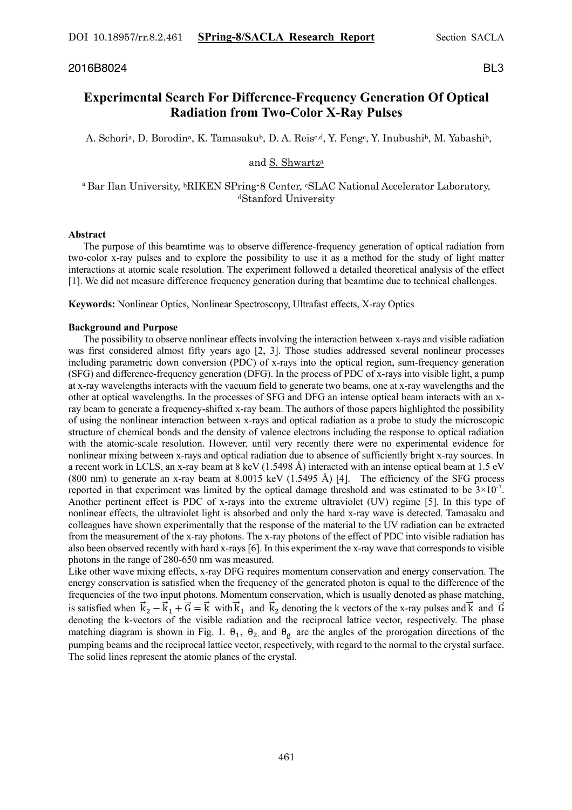# 2016B8024 BL3

# **Experimental Search For Difference-Frequency Generation Of Optical Radiation from Two-Color X-Ray Pulses**

A. Schoria, D. Borodina, K. Tamasakub, D. A. Reisc,d, Y. Fengc, Y. Inubushib, M. Yabashib,

# and S. Shwartza

## <sup>a</sup> Bar Ilan University, <sup>b</sup>RIKEN SPring-8 Center, <sup>c</sup>SLAC National Accelerator Laboratory, dStanford University

#### **Abstract**

 The purpose of this beamtime was to observe difference-frequency generation of optical radiation from two-color x-ray pulses and to explore the possibility to use it as a method for the study of light matter interactions at atomic scale resolution. The experiment followed a detailed theoretical analysis of the effect [1]. We did not measure difference frequency generation during that beamtime due to technical challenges.

**Keywords:** Nonlinear Optics, Nonlinear Spectroscopy, Ultrafast effects, X-ray Optics

#### **Background and Purpose**

 The possibility to observe nonlinear effects involving the interaction between x-rays and visible radiation was first considered almost fifty years ago [2, 3]. Those studies addressed several nonlinear processes including parametric down conversion (PDC) of x-rays into the optical region, sum-frequency generation (SFG) and difference-frequency generation (DFG). In the process of PDC of x-rays into visible light, a pump at x-ray wavelengths interacts with the vacuum field to generate two beams, one at x-ray wavelengths and the other at optical wavelengths. In the processes of SFG and DFG an intense optical beam interacts with an xray beam to generate a frequency-shifted x-ray beam. The authors of those papers highlighted the possibility of using the nonlinear interaction between x-rays and optical radiation as a probe to study the microscopic structure of chemical bonds and the density of valence electrons including the response to optical radiation with the atomic-scale resolution. However, until very recently there were no experimental evidence for nonlinear mixing between x-rays and optical radiation due to absence of sufficiently bright x-ray sources. In a recent work in LCLS, an x-ray beam at 8 keV (1.5498 Å) interacted with an intense optical beam at 1.5 eV (800 nm) to generate an x-ray beam at 8.0015 keV (1.5495 Å) [4]. The efficiency of the SFG process reported in that experiment was limited by the optical damage threshold and was estimated to be  $3 \times 10^{-7}$ . Another pertinent effect is PDC of x-rays into the extreme ultraviolet (UV) regime [5]. In this type of nonlinear effects, the ultraviolet light is absorbed and only the hard x-ray wave is detected. Tamasaku and colleagues have shown experimentally that the response of the material to the UV radiation can be extracted from the measurement of the x-ray photons. The x-ray photons of the effect of PDC into visible radiation has also been observed recently with hard x-rays [6]. In this experiment the x-ray wave that corresponds to visible photons in the range of 280-650 nm was measured.

Like other wave mixing effects, x-ray DFG requires momentum conservation and energy conservation. The energy conservation is satisfied when the frequency of the generated photon is equal to the difference of the frequencies of the two input photons. Momentum conservation, which is usually denoted as phase matching, is satisfied when  $\vec{k}_2 - \vec{k}_1 + \vec{G} = \vec{k}$  with  $\vec{k}_1$  and  $\vec{k}_2$  denoting the k vectors of the x-ray pulses and  $\vec{k}$  and  $\vec{G}$ denoting the k-vectors of the visible radiation and the reciprocal lattice vector, respectively. The phase matching diagram is shown in Fig. 1.  $\theta_1$ ,  $\theta_2$ , and  $\theta_g$  are the angles of the prorogation directions of the pumping beams and the reciprocal lattice vector, respectively, with regard to the normal to the crystal surface. The solid lines represent the atomic planes of the crystal.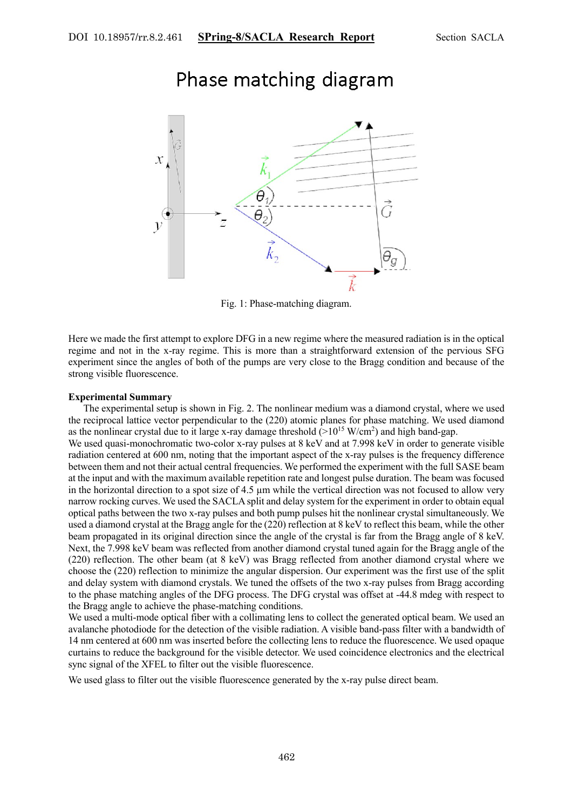

# Phase matching diagram

Fig. 1: Phase-matching diagram.

Here we made the first attempt to explore DFG in a new regime where the measured radiation is in the optical regime and not in the x-ray regime. This is more than a straightforward extension of the pervious SFG experiment since the angles of both of the pumps are very close to the Bragg condition and because of the strong visible fluorescence.

### **Experimental Summary**

 The experimental setup is shown in Fig. 2. The nonlinear medium was a diamond crystal, where we used the reciprocal lattice vector perpendicular to the (220) atomic planes for phase matching. We used diamond as the nonlinear crystal due to it large x-ray damage threshold  $(>10^{15} \text{ W/cm}^2)$  and high band-gap.

We used quasi-monochromatic two-color x-ray pulses at 8 keV and at 7.998 keV in order to generate visible radiation centered at 600 nm, noting that the important aspect of the x-ray pulses is the frequency difference between them and not their actual central frequencies. We performed the experiment with the full SASE beam at the input and with the maximum available repetition rate and longest pulse duration. The beam was focused in the horizontal direction to a spot size of 4.5 µm while the vertical direction was not focused to allow very narrow rocking curves. We used the SACLA split and delay system for the experiment in order to obtain equal optical paths between the two x-ray pulses and both pump pulses hit the nonlinear crystal simultaneously. We used a diamond crystal at the Bragg angle for the (220) reflection at 8 keV to reflect this beam, while the other beam propagated in its original direction since the angle of the crystal is far from the Bragg angle of 8 keV. Next, the 7.998 keV beam was reflected from another diamond crystal tuned again for the Bragg angle of the (220) reflection. The other beam (at 8 keV) was Bragg reflected from another diamond crystal where we choose the (220) reflection to minimize the angular dispersion. Our experiment was the first use of the split and delay system with diamond crystals. We tuned the offsets of the two x-ray pulses from Bragg according to the phase matching angles of the DFG process. The DFG crystal was offset at -44.8 mdeg with respect to the Bragg angle to achieve the phase-matching conditions.

We used a multi-mode optical fiber with a collimating lens to collect the generated optical beam. We used an avalanche photodiode for the detection of the visible radiation. A visible band-pass filter with a bandwidth of 14 nm centered at 600 nm was inserted before the collecting lens to reduce the fluorescence. We used opaque curtains to reduce the background for the visible detector. We used coincidence electronics and the electrical sync signal of the XFEL to filter out the visible fluorescence.

We used glass to filter out the visible fluorescence generated by the x-ray pulse direct beam.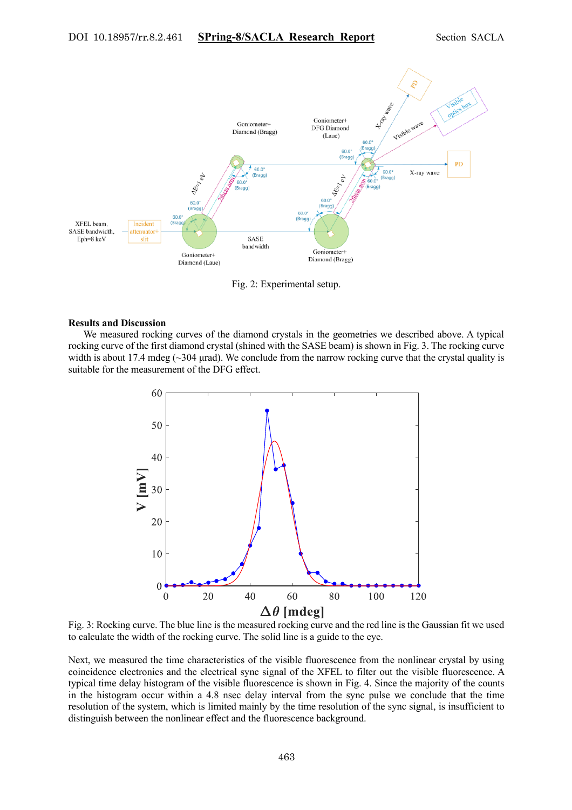

Fig. 2: Experimental setup.

#### **Results and Discussion**

 We measured rocking curves of the diamond crystals in the geometries we described above. A typical rocking curve of the first diamond crystal (shined with the SASE beam) is shown in Fig. 3. The rocking curve width is about 17.4 mdeg ( $\sim$ 304 µrad). We conclude from the narrow rocking curve that the crystal quality is suitable for the measurement of the DFG effect.



Fig. 3: Rocking curve. The blue line is the measured rocking curve and the red line is the Gaussian fit we used to calculate the width of the rocking curve. The solid line is a guide to the eye.

Next, we measured the time characteristics of the visible fluorescence from the nonlinear crystal by using coincidence electronics and the electrical sync signal of the XFEL to filter out the visible fluorescence. A typical time delay histogram of the visible fluorescence is shown in Fig. 4. Since the majority of the counts in the histogram occur within a 4.8 nsec delay interval from the sync pulse we conclude that the time resolution of the system, which is limited mainly by the time resolution of the sync signal, is insufficient to distinguish between the nonlinear effect and the fluorescence background.